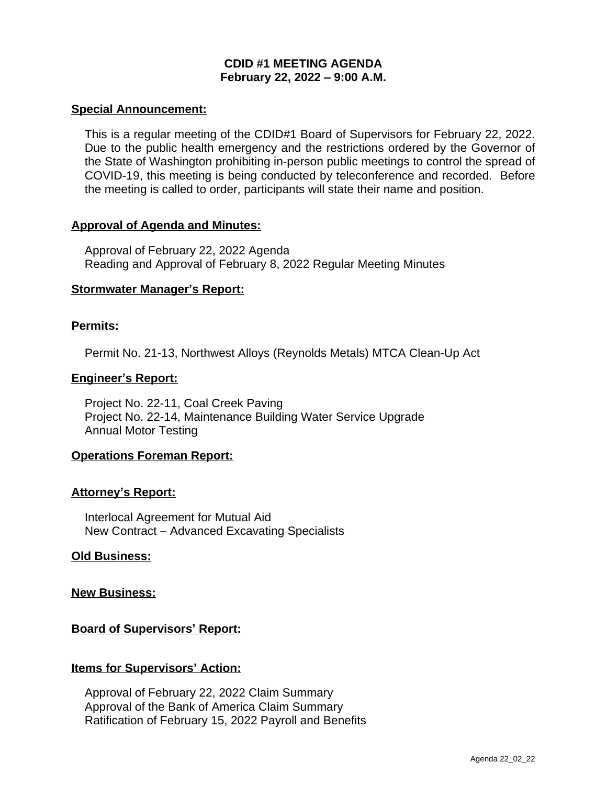# **CDID #1 MEETING AGENDA February 22, 2022 – 9:00 A.M.**

### **Special Announcement:**

This is a regular meeting of the CDID#1 Board of Supervisors for February 22, 2022. Due to the public health emergency and the restrictions ordered by the Governor of the State of Washington prohibiting in-person public meetings to control the spread of COVID-19, this meeting is being conducted by teleconference and recorded. Before the meeting is called to order, participants will state their name and position.

## **Approval of Agenda and Minutes:**

Approval of February 22, 2022 Agenda Reading and Approval of February 8, 2022 Regular Meeting Minutes

## **Stormwater Manager's Report:**

## **Permits:**

Permit No. 21-13, Northwest Alloys (Reynolds Metals) MTCA Clean-Up Act

## **Engineer's Report:**

Project No. 22-11, Coal Creek Paving Project No. 22-14, Maintenance Building Water Service Upgrade Annual Motor Testing

# **Operations Foreman Report:**

#### **Attorney's Report:**

Interlocal Agreement for Mutual Aid New Contract – Advanced Excavating Specialists

#### **Old Business:**

#### **New Business:**

# **Board of Supervisors' Report:**

# **Items for Supervisors' Action:**

Approval of February 22, 2022 Claim Summary Approval of the Bank of America Claim Summary Ratification of February 15, 2022 Payroll and Benefits